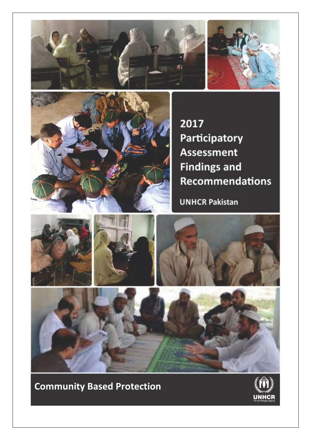





2017 **Participatory Assessment Findings and Recommendations** 

**UNHCR Pakistan** 



**Community Based Protection**

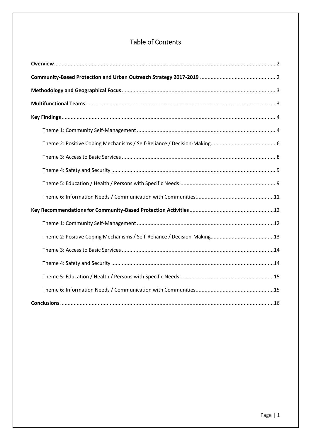## Table of Contents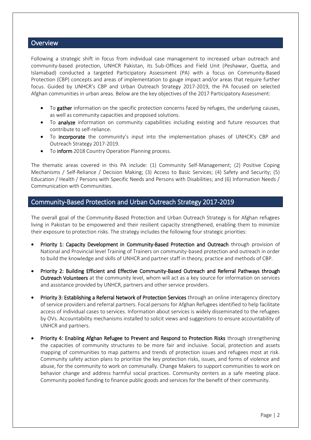### <span id="page-2-0"></span>**Overview**

Following a strategic shift in focus from individual case management to increased urban outreach and community-based protection, UNHCR Pakistan, its Sub-Offices and Field Unit (Peshawar, Quetta, and Islamabad) conducted a targeted Participatory Assessment (PA) with a focus on Community-Based Protection (CBP) concepts and areas of implementation to gauge impact and/or areas that require further focus. Guided by UNHCR's CBP and Urban Outreach Strategy 2017-2019, the PA focused on selected Afghan communities in urban areas. Below are the key objectives of the 2017 Participatory Assessment:

- To gather information on the specific protection concerns faced by refuges, the underlying causes, as well as community capacities and proposed solutions.
- To **analyze** information on community capabilities including existing and future resources that contribute to self-reliance.
- To **incorporate** the community's input into the implementation phases of UNHCR's CBP and Outreach Strategy 2017-2019.
- To inform 2018 Country Operation Planning process.

The thematic areas covered in this PA include: (1) Community Self-Management; (2) Positive Coping Mechanisms / Self-Reliance / Decision Making; (3) Access to Basic Services; (4) Safety and Security; (5) Education / Health / Persons with Specific Needs and Persons with Disabilities; and (6) Information Needs / Communication with Communities.

### <span id="page-2-1"></span>Community-Based Protection and Urban Outreach Strategy 2017-2019

The overall goal of the Community-Based Protection and Urban Outreach Strategy is for Afghan refugees living in Pakistan to be empowered and their resilient capacity strengthened, enabling them to minimize their exposure to protection risks. The strategy includes the following four strategic priorities:

- Priority 1: Capacity Development in Community-Based Protection and Outreach through provision of National and Provincial level Training of Trainers on community-based protection and outreach in order to build the knowledge and skills of UNHCR and partner staff in theory, practice and methods of CBP.
- Priority 2: Building Efficient and Effective Community-Based Outreach and Referral Pathways through Outreach Volunteers at the community level, whom will act as a key source for information on services and assistance provided by UNHCR, partners and other service providers.
- Priority 3: Establishing a Referral Network of Protection Services through an online interagency directory of service providers and referral partners. Focal persons for Afghan Refugees identified to help facilitate access of individual cases to services. Information about services is widely disseminated to the refugees by OVs. Accountability mechanisms installed to solicit views and suggestions to ensure accountability of UNHCR and partners.
- Priority 4: Enabling Afghan Refugee to Prevent and Respond to Protection Risks through strengthening the capacities of community structures to be more fair and inclusive. Social, protection and assets mapping of communities to map patterns and trends of protection issues and refugees most at risk. Community safety action plans to prioritize the key protection risks, issues, and forms of violence and abuse, for the community to work on communally. Change Makers to support communities to work on behavior change and address harmful social practices. Community centers as a safe meeting place. Community pooled funding to finance public goods and services for the benefit of their community.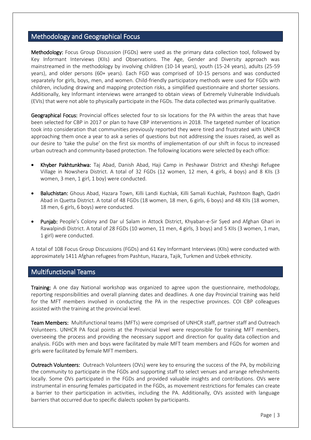### <span id="page-3-0"></span>Methodology and Geographical Focus

Methodology: Focus Group Discussion (FGDs) were used as the primary data collection tool, followed by Key Informant Interviews (KIIs) and Observations. The Age, Gender and Diversity approach was mainstreamed in the methodology by involving children (10-14 years), youth (15-24 years), adults (25-59 years), and older persons (60+ years). Each FGD was comprised of 10-15 persons and was conducted separately for girls, boys, men, and women. Child-friendly participatory methods were used for FGDs with children, including drawing and mapping protection risks, a simplified questionnaire and shorter sessions. Additionally, key Informant interviews were arranged to obtain views of Extremely Vulnerable Individuals (EVIs) that were not able to physically participate in the FGDs. The data collected was primarily qualitative.

Geographical Focus: Provincial offices selected four to six locations for the PA within the areas that have been selected for CBP in 2017 or plan to have CBP interventions in 2018. The targeted number of location took into consideration that communities previously reported they were tired and frustrated with UNHCR approaching them once a year to ask a series of questions but not addressing the issues raised, as well as our desire to 'take the pulse' on the first six months of implementation of our shift in focus to increased urban outreach and community-based protection. The following locations were selected by each office:

- Khyber Pakhtunkhwa: Taj Abad, Danish Abad, Haji Camp in Peshawar District and Kheshgi Refugee Village in Nowshera District. A total of 32 FGDs (12 women, 12 men, 4 girls, 4 boys) and 8 KIIs (3 women, 3 men, 1 girl, 1 boy) were conducted.
- Baluchistan: Ghous Abad, Hazara Town, Killi Landi Kuchlak, Killi Samali Kuchlak, Pashtoon Bagh, Qadri Abad in Quetta District. A total of 48 FGDs (18 women, 18 men, 6 girls, 6 boys) and 48 KIIs (18 women, 18 men, 6 girls, 6 boys) were conducted.
- Punjab: People's Colony and Dar ul Salam in Attock District, Khyaban-e-Sir Syed and Afghan Ghari in Rawalpindi District. A total of 28 FGDs (10 women, 11 men, 4 girls, 3 boys) and 5 KIIs (3 women, 1 man, 1 girl) were conducted.

A total of 108 Focus Group Discussions (FGDs) and 61 Key Informant Interviews (KIIs) were conducted with approximately 1411 Afghan refugees from Pashtun, Hazara, Tajik, Turkmen and Uzbek ethnicity.

### <span id="page-3-1"></span>Multifunctional Teams

Training: A one day National workshop was organized to agree upon the questionnaire, methodology, reporting responsibilities and overall planning dates and deadlines. A one day Provincial training was held for the MFT members involved in conducting the PA in the respective provinces. COI CBP colleagues assisted with the training at the provincial level.

Team Members: Multifunctional teams (MFTs) were comprised of UNHCR staff, partner staff and Outreach Volunteers. UNHCR PA focal points at the Provincial level were responsible for training MFT members, overseeing the process and providing the necessary support and direction for quality data collection and analysis. FGDs with men and boys were facilitated by male MFT team members and FGDs for women and girls were facilitated by female MFT members.

Outreach Volunteers: Outreach Volunteers (OVs) were key to ensuring the success of the PA, by mobilizing the community to participate in the FGDs and supporting staff to select venues and arrange refreshments locally. Some OVs participated in the FGDs and provided valuable insights and contributions. OVs were instrumental in ensuring females participated in the FGDs, as movement restrictions for females can create a barrier to their participation in activities, including the PA. Additionally, OVs assisted with language barriers that occurred due to specific dialects spoken by participants.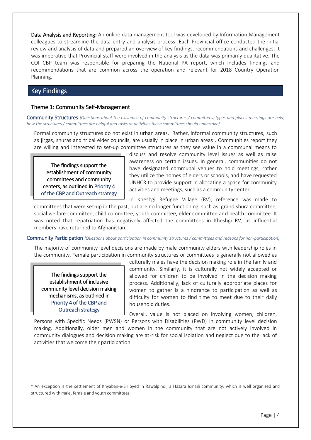Data Analysis and Reporting: An online data management tool was developed by Information Management colleagues to streamline the data entry and analysis process. Each Provincial office conducted the initial review and analysis of data and prepared an overview of key findings, recommendations and challenges. It was imperative that Provincial staff were involved in the analysis as the data was primarily qualitative. The COI CBP team was responsible for preparing the National PA report, which includes findings and recommendations that are common across the operation and relevant for 2018 Country Operation Planning.

### <span id="page-4-0"></span>Key Findings

### <span id="page-4-1"></span>Theme 1: Community Self-Management

Community Structures *[Questions about the existence of community structures / committees, types and places meetings are held, how the structures / committees are helpful and tasks or activities these committees should undertake].* 

Formal community structures do not exist in urban areas. Rather, informal community structures, such as jirgas, shuras and tribal elder councils, are usually in place in urban areas<sup>1</sup>. Communities report they are willing and interested to set-up committee structures as they see value in a communal means to

The findings support the establishment of community committees and community centers, as outlined in Priority 4 of the CBP and Outreach strategy discuss and resolve community level issues as well as raise awareness on certain issues. In general, communities do not have designated communal venues to hold meetings, rather they utilize the homes of elders or schools, and have requested UNHCR to provide support in allocating a space for community activities and meetings, such as a community center.

In Kheshgi Refugee Village (RV), reference was made to

committees that were set-up in the past, but are no longer functioning, such as: grand shura committee, social welfare committee, child committee, youth committee, elder committee and health committee. It was noted that repatriation has negatively affected the committees in Kheshgi RV, as influential members have returned to Afghanistan.

Community Participation *[Questions about participation in community structures / committees and reasons for non-participation].* 

The majority of community level decisions are made by male community elders with leadership roles in the community. Female participation in community structures or committees is generally not allowed as

The findings support the establishment of inclusive community level decision making mechanisms, as outlined in Priority 4 of the CBP and Outreach strategy

 $\overline{a}$ 

culturally males have the decision making role in the family and community. Similarly, it is culturally not widely accepted or allowed for children to be involved in the decision making process. Additionally, lack of culturally appropriate places for women to gather is a hindrance to participation as well as difficulty for women to find time to meet due to their daily household duties.

Overall, value is not placed on involving women, children,

Persons with Specific Needs (PWSN) or Persons with Disabilities (PWD) in community level decision making. Additionally, older men and women in the community that are not actively involved in community dialogues and decision making are at-risk for social isolation and neglect due to the lack of activities that welcome their participation.

<sup>&</sup>lt;sup>1</sup> An exception is the settlement of Khyaban-e-Sir Syed in Rawalpindi, a Hazara Ismaili community, which is well organized and structured with male, female and youth committees.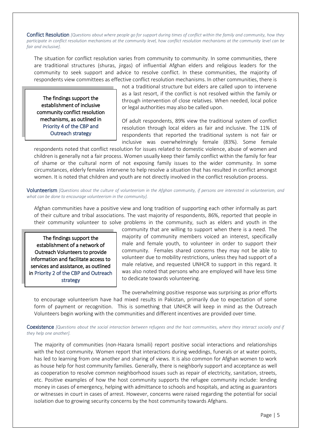Conflict Resolution *[Questions about where people go for support during times of conflict within the family and community, how they participate in conflict resolution mechanisms at the community level, how conflict resolution mechanisms at the community level can be fair and inclusive].* 

The situation for conflict resolution varies from community to community. In some communities, there are traditional structures (shuras, jirgas) of influential Afghan elders and religious leaders for the community to seek support and advice to resolve conflict. In these communities, the majority of respondents view committees as effective conflict resolution mechanisms. In other communities, there is

The findings support the establishment of inclusive community conflict resolution mechanisms, as outlined in Priority 4 of the CBP and Outreach strategy

not a traditional structure but elders are called upon to intervene as a last resort, if the conflict is not resolved within the family or through intervention of close relatives. When needed, local police or legal authorities may also be called upon.

Of adult respondents, 89% view the traditional system of conflict resolution through local elders as fair and inclusive. The 11% of respondents that reported the traditional system is not fair or inclusive was overwhelmingly female (83%). Some female

respondents noted that conflict resolution for issues related to domestic violence, abuse of women and children is generally not a fair process. Women usually keep their family conflict within the family for fear of shame or the cultural norm of not exposing family issues to the wider community. In some circumstances, elderly females intervene to help resolve a situation that has resulted in conflict amongst women. It is noted that children and youth are not directly involved in the conflict resolution process.

Volunteerism *[Questions about the culture of volunteerism in the Afghan community, if persons are interested in volunteerism, and what can be done to encourage volunteerism in the community].* 

Afghan communities have a positive view and long tradition of supporting each other informally as part of their culture and tribal associations. The vast majority of respondents, 86%, reported that people in their community volunteer to solve problems in the community, such as elders and youth in the

The findings support the establishment of a network of Outreach Volunteers to provide information and facilitate access to services and assistance, as outlined in Priority 2 of the CBP and Outreach strategy

community that are willing to support when there is a need. The majority of community members voiced an interest, specifically male and female youth, to volunteer in order to support their community. Females shared concerns they may not be able to volunteer due to mobility restrictions, unless they had support of a male relative, and requested UNHCR to support in this regard. It was also noted that persons who are employed will have less time to dedicate towards volunteering.

The overwhelming positive response was surprising as prior efforts

to encourage volunteerism have had mixed results in Pakistan, primarily due to expectation of some form of payment or recognition. This is something that UNHCR will keep in mind as the Outreach Volunteers begin working with the communities and different incentives are provided over time.

Coexistence *[Questions about the social interaction between refugees and the host communities, where they interact socially and if they help one another].*

The majority of communities (non-Hazara Ismaili) report positive social interactions and relationships with the host community. Women report that interactions during weddings, funerals or at water points, has led to learning from one another and sharing of views. It is also common for Afghan women to work as house help for host community families. Generally, there is neighborly support and acceptance as well as cooperation to resolve common neighborhood issues such as repair of electricity, sanitation, streets, etc. Positive examples of how the host community supports the refugee community include: lending money in cases of emergency, helping with admittance to schools and hospitals, and acting as guarantors or witnesses in court in cases of arrest. However, concerns were raised regarding the potential for social isolation due to growing security concerns by the host community towards Afghans.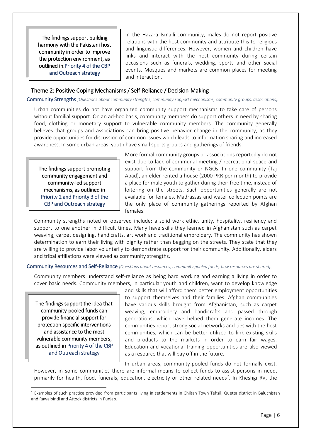The findings support building harmony with the Pakistani host community in order to improve the protection environment, as outlined inPriority 4 of the CBP and Outreach strategy

In the Hazara Ismaili community, males do not report positive relations with the host community and attribute this to religious and linguistic differences. However, women and children have links and interact with the host community during certain occasions such as funerals, wedding, sports and other social events. Mosques and markets are common places for meeting and interaction.

#### <span id="page-6-0"></span>Theme 2: Positive Coping Mechanisms / Self-Reliance / Decision-Making

#### Community Strengths *[Questions about community strengths, community support mechanisms, community groups, associations].*

Urban communities do not have organized community support mechanisms to take care of persons without familial support. On an ad-hoc basis, community members do support others in need by sharing food, clothing or monetary support to vulnerable community members. The community generally believes that groups and associations can bring positive behavior change in the community, as they provide opportunities for discussion of common issues which leads to information sharing and increased awareness. In some urban areas, youth have small sports groups and gatherings of friends.

The findings support promoting community engagement and community-led support mechanisms, as outlined in Priority 2 and Priority 3 of the CBP and Outreach strategy

More formal community groups or associations reportedly do not exist due to lack of communal meeting / recreational space and support from the community or NGOs. In one community (Taj Abad), an elder rented a house (2000 PKR per month) to provide a place for male youth to gather during their free time, instead of loitering on the streets. Such opportunities generally are not available for females. Madrassas and water collection points are the only place of community gatherings reported by Afghan females.

Community strengths noted or observed include: a solid work ethic, unity, hospitality, resiliency and support to one another in difficult times. Many have skills they learned in Afghanistan such as carpet weaving, carpet designing, handicrafts, art work and traditional embroidery. The community has shown determination to earn their living with dignity rather than begging on the streets. They state that they are willing to provide labor voluntarily to demonstrate support for their community. Additionally, elders and tribal affiliations were viewed as community strengths.

#### Community Resources and Self-Reliance *[Questions about resources, community pooled funds, how resources are shared].*

Community members understand self-reliance as being hard working and earning a living in order to cover basic needs. Community members, in particular youth and children, want to develop knowledge

The findings support the idea that community-pooled funds can provide financial support for protection specific interventions and assistance to the most vulnerable community members, as outlined in Priority 4 of the CBP and Outreach strategy

 $\overline{a}$ 

and skills that will afford them better employment opportunities to support themselves and their families. Afghan communities have various skills brought from Afghanistan, such as carpet weaving, embroidery and handicrafts and passed through generations, which have helped them generate incomes. The communities report strong social networks and ties with the host communities, which can be better utilized to link existing skills and products to the markets in order to earn fair wages. Education and vocational training opportunities are also viewed as a resource that will pay off in the future.

In urban areas, community-pooled funds do not formally exist.

However, in some communities there are informal means to collect funds to assist persons in need, primarily for health, food, funerals, education, electricity or other related needs<sup>2</sup>. In Kheshgi RV, the

<sup>&</sup>lt;sup>2</sup> Examples of such practice provided from participants living in settlements in Chiltan Town Tehsil, Quetta district in Baluchistan and Rawalpindi and Attock districts in Punjab.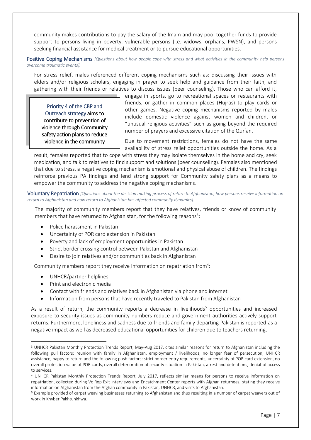community makes contributions to pay the salary of the Imam and may pool together funds to provide support to persons living in poverty, vulnerable persons (i.e. widows, orphans, PWSN), and persons seeking financial assistance for medical treatment or to pursue educational opportunities.

Positive Coping Mechanisms *[Questions about how people cope with stress and what activities in the community help persons overcome traumatic events].* 

For stress relief, males referenced different coping mechanisms such as: discussing their issues with elders and/or religious scholars, engaging in prayer to seek help and guidance from their faith, and gathering with their friends or relatives to discuss issues (peer counseling). Those who can afford it,

Priority 4 of the CBP and Outreach strategy aims to contribute to prevention of violence through Community safety action plans to reduce violence in the community

engage in sports, go to recreational spaces or restaurants with friends, or gather in common places (Hujras) to play cards or other games. Negative coping mechanisms reported by males include domestic violence against women and children, or "unusual religious activities" such as going beyond the required number of prayers and excessive citation of the Qur'an.

Due to movement restrictions, females do not have the same availability of stress relief opportunities outside the home. As a

result, females reported that to cope with stress they may isolate themselves in the home and cry, seek medication, and talk to relatives to find support and solutions (peer counseling). Females also mentioned that due to stress, a negative coping mechanism is emotional and physical abuse of children. The findings reinforce previous PA findings and lend strong support for Community safety plans as a means to empower the community to address the negative coping mechanisms.

Voluntary Repatriation *[Questions about the decision making process of return to Afghanistan, how persons receive information on return to Afghanistan and how return to Afghanistan has affected community dynamics].* 

The majority of community members report that they have relatives, friends or know of community members that have returned to Afghanistan, for the following reasons<sup>3</sup>:

- Police harassment in Pakistan
- Uncertainty of POR card extension in Pakistan
- Poverty and lack of employment opportunities in Pakistan
- Strict border crossing control between Pakistan and Afghanistan
- Desire to join relatives and/or communities back in Afghanistan

Community members report they receive information on repatriation from<sup>4</sup>:

- UNHCR/partner helplines
- Print and electronic media

 $\overline{a}$ 

- Contact with friends and relatives back in Afghanistan via phone and internet
- Information from persons that have recently traveled to Pakistan from Afghanistan

As a result of return, the community reports a decrease in livelihoods<sup>5</sup> opportunities and increased exposure to security issues as community numbers reduce and government authorities actively support returns. Furthermore, loneliness and sadness due to friends and family departing Pakistan is reported as a negative impact as well as decreased educational opportunities for children due to teachers returning.

<sup>3</sup> UNHCR Pakistan Monthly Protection Trends Report, May-Aug 2017, cites similar reasons for return to Afghanistan including the following pull factors: reunion with family in Afghanistan, employment / livelihoods, no longer fear of persecution, UNHCR assistance, happy to return and the following push factors: strict border entry requirements, uncertainty of POR card extension, no overall protection value of POR cards, overall deterioration of security situation in Pakistan, arrest and detentions, denial of access to services.

<sup>4</sup> UNHCR Pakistan Monthly Protection Trends Report, July 2017, reflects similar means for persons to receive information on repatriation, collected during VolRep Exit Interviews and Encatchment Center reports with Afghan returnees, stating they receive information on Afghanistan from the Afghan community in Pakistan, UNHCR, and visits to Afghanistan.

<sup>5</sup> Example provided of carpet weaving businesses returning to Afghanistan and thus resulting in a number of carpet weavers out of work in Khyber Pakhtunkhwa.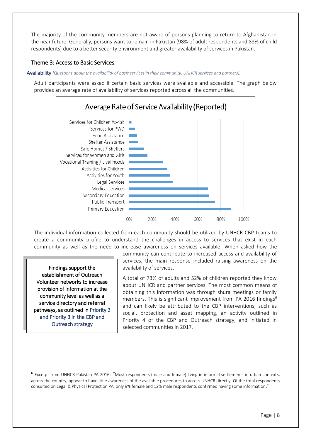The majority of the community members are not aware of persons planning to return to Afghanistan in the near future. Generally, persons want to remain in Pakistan (98% of adult respondents and 88% of child respondents) due to a better security environment and greater availability of services in Pakistan.

### <span id="page-8-0"></span>Theme 3: Access to Basic Services

Availability *[Questions about the availability of basic services in their community, UNHCR services and partners].* 

Adult participants were asked if certain basic services were available and accessible. The graph below provides an average rate of availability of services reported across all the communities.



The individual information collected from each community should be utilized by UNHCR CBP teams to create a community profile to understand the challenges in access to services that exist in each community as well as the need to increase awareness on services available. When asked how the

Findings support the establishment of Outreach Volunteer networks to increase provision of information at the community level as well as a service directory and referral pathways, as outlined in Priority 2 and Priority 3 in the CBP and Outreach strategy

 $\ddot{\phantom{a}}$ 

community can contribute to increased access and availability of services, the main response included raising awareness on the availability of services.

A total of 73% of adults and 52% of children reported they know about UNHCR and partner services. The most common means of obtaining this information was through shura meetings or family members. This is significant improvement from PA 2016 findings<sup>6</sup> and can likely be attributed to the CBP interventions, such as social, protection and asset mapping, an activity outlined in Priority 4 of the CBP and Outreach strategy, and initiated in selected communities in 2017.

<sup>&</sup>lt;sup>6</sup> Excerpt from UNHCR Pakistan PA 2016: "Most respondents (male and female) living in informal settlements in urban contexts, across the country, appear to have little awareness of the available procedures to access UNHCR directly. Of the total respondents consulted on Legal & Physical Protection PA, only 9% female and 12% male respondents confirmed having some information."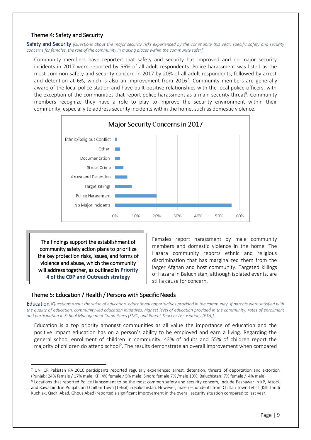#### <span id="page-9-0"></span>Theme 4: Safety and Security

Safety and Security *[Questions about the major security risks experienced by the community this year, specific safety and security concerns for females, the role of the community in making places within the community safer].* 

Community members have reported that safety and security has improved and no major security incidents in 2017 were reported by 56% of all adult respondents. Police harassment was listed as the most common safety and security concern in 2017 by 20% of all adult respondents, followed by arrest and detention at 6%, which is also an improvement from 2016<sup>7</sup>. Community members are generally aware of the local police station and have built positive relationships with the local police officers, with the exception of the communities that report police harassment as a main security threat<sup>8</sup>. Community members recognize they have a role to play to improve the security environment within their community, especially to address security incidents within the home, such as domestic violence.



The findings support the establishment of community safety action plans to prioritize the key protection risks, issues, and forms of violence and abuse, which the community will address together, as outlined in **Priority 4 of the CBP and Outreach strategy**

 $\overline{a}$ 

Females report harassment by male community members and domestic violence in the home. The Hazara community reports ethnic and religious discrimination that has marginalized them from the larger Afghan and host community. Targeted killings of Hazara in Baluchistan, although isolated events, are still a cause for concern.

#### <span id="page-9-1"></span>Theme 5: Education / Health / Persons with Specific Needs

Education *[Questions about the value of education, educational opportunities provided in the community, if parents were satisfied with the quality of education, community-led education initiatives, highest level of education provided in the community, rates of enrollment and participation in School Management Committees (SMC) and Parent Teacher Associations (PTA)].* 

Education is a top priority amongst communities as all value the importance of education and the positive impact education has on a person's ability to be employed and earn a living. Regarding the general school enrollment of children in community, 42% of adults and 55% of children report the majority of children do attend school<sup>9</sup>. The results demonstrate an overall improvement when compared

<sup>7</sup> UNHCR Pakistan PA 2016 participants reported regularly experienced arrest, detention, threats of deportation and extortion (Punjab: 24% female / 17% male; KP: 4% female / 5% male; Sindh: female 7% /male 10%; Baluchistan: 7% female / 4% male) <sup>8</sup> Locations that reported Police Harassment to be the most common safety and security concern, include Peshawar in KP, Attock and Rawalpindi in Punjab, and Chiltan Town (Tehsil) in Baluchistan. However, male respondents from Chiltan Town Tehsil (Killi Landi Kuchlak, Qadri Abad, Ghous Abad) reported a significant improvement in the overall security situation compared to last year.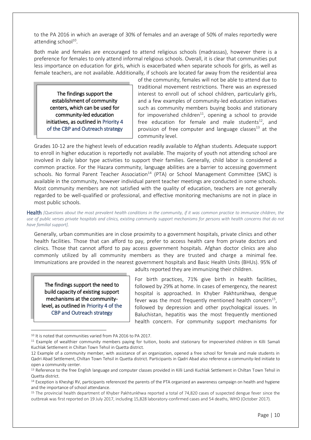to the PA 2016 in which an average of 30% of females and an average of 50% of males reportedly were attending school<sup>10</sup>.

Both male and females are encouraged to attend religious schools (madrassas), however there is a preference for females to only attend informal religious schools. Overall, it is clear that communities put less importance on education for girls, which is exacerbated when separate schools for girls, as well as female teachers, are not available. Additionally, if schools are located far away from the residential area

The findings support the establishment of community centers, which can be used for community-led education initiatives, as outlined in Priority 4 of the CBP and Outreach strategy

of the community, females will not be able to attend due to traditional movement restrictions. There was an expressed interest to enroll out of school children, particularly girls, and a few examples of community-led education initiatives such as community members buying books and stationary for impoverished children<sup>11</sup>, opening a school to provide free education for female and male students<sup>12</sup>, and provision of free computer and language classes $13$  at the community level.

Grades 10-12 are the highest levels of education readily available to Afghan students. Adequate support to enroll in higher education is reportedly not available. The majority of youth not attending school are involved in daily labor type activities to support their families. Generally, child labor is considered a common practice. For the Hazara community, language abilities are a barrier to accessing government schools. No formal Parent Teacher Association<sup>14</sup> (PTA) or School Management Committee (SMC) is available in the community, however individual parent teacher meetings are conducted in some schools. Most community members are not satisfied with the quality of education, teachers are not generally regarded to be well-qualified or professional, and effective monitoring mechanisms are not in place in most public schools.

Health *[Questions about the most prevalent health conditions in the community, if it was common practice to immunize children, the use of public verses private hospitals and clinics, existing community support mechanisms for persons with health concerns that do not have familial support].* 

Generally, urban communities are in close proximity to a government hospitals, private clinics and other health facilities. Those that can afford to pay, prefer to access health care from private doctors and clinics. Those that cannot afford to pay access government hospitals. Afghan doctor clinics are also commonly utilized by all community members as they are trusted and charge a minimal fee. Immunizations are provided in the nearest government hospitals and Basic Health Units (BHUs). 95% of

The findings support the need to build capacity of existing support mechanisms at the communitylevel, as outlined in Priority 4 of the CBP and Outreach strategy

 $\ddot{\phantom{a}}$ 

adults reported they are immunizing their children.

For birth practices, 71% give birth in health facilities, followed by 29% at home. In cases of emergency, the nearest hospital is approached. In Khyber Pakhtunkhwa, dengue fever was the most frequently mentioned health concern<sup>15</sup>, followed by depression and other psychological issues. In Baluchistan, hepatitis was the most frequently mentioned health concern. For community support mechanisms for

<sup>&</sup>lt;sup>10</sup> It is noted that communities varied from PA 2016 to PA 2017.

<sup>11</sup> Example of wealthier community members paying for tuition, books and stationary for impoverished children in Killi Samali Kuchlak Settlement in Chiltan Town Tehsil in Quetta district.

<sup>12</sup> Example of a community member, with assistance of an organization, opened a free school for female and male students in Qadri Abad Settlement, Chiltan Town Tehsil in Quetta district. Participants in Qadri Abad also reference a community-led initiate to open a community center.

<sup>13</sup> Reference to the free English language and computer classes provided in Killi Landi Kuchlak Settlement in Chiltan Town Tehsil in Quetta district.

<sup>&</sup>lt;sup>14</sup> Exception is Kheshgi RV, participants referenced the parents of the PTA organized an awareness campaign on health and hygiene and the importance of school attendance.

<sup>15</sup> The provincial health department of Khyber Pakhtunkhwa reported a total of 74,820 cases of suspected dengue fever since the outbreak was first reported on 19 July 2017, including 15,828 laboratory-confirmed cases and 54 deaths, WHO (October 2017).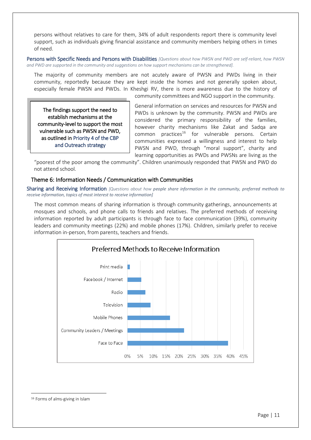persons without relatives to care for them, 34% of adult respondents report there is community level support, such as individuals giving financial assistance and community members helping others in times of need.

Persons with Specific Needs and Persons with Disabilities *[Questions about how PWSN and PWD are self-reliant, how PWSN and PWD are supported in the community and suggestions on how support mechanisms can be strengthened].* 

The majority of community members are not acutely aware of PWSN and PWDs living in their community, reportedly because they are kept inside the homes and not generally spoken about, especially female PWSN and PWDs. In Kheshgi RV, there is more awareness due to the history of

community committees and NGO support in the community.

The findings support the need to establish mechanisms at the community-level to support the most vulnerable such as PWSN and PWD, as outlined in Priority 4 of the CBP and Outreach strategy

General information on services and resources for PWSN and PWDs is unknown by the community. PWSN and PWDs are considered the primary responsibility of the families, however charity mechanisms like Zakat and Sadqa are  $common$  practices<sup>16</sup> for vulnerable persons. Certain communities expressed a willingness and interest to help PWSN and PWD, through "moral support", charity and learning opportunities as PWDs and PWSNs are living as the

"poorest of the poor among the community". Children unanimously responded that PWSN and PWD do not attend school.

### <span id="page-11-0"></span>Theme 6: Information Needs / Communication with Communities

Sharing and Receiving Information *[Questions about how people share information in the community, preferred methods to receive information, topics of most interest to receive information]* 

The most common means of sharing information is through community gatherings, announcements at mosques and schools, and phone calls to friends and relatives. The preferred methods of receiving information reported by adult participants is through face to face communication (39%), community leaders and community meetings (22%) and mobile phones (17%). Children, similarly prefer to receive information in-person, from parents, teachers and friends.



<sup>1</sup> <sup>16</sup> Forms of alms-giving in Islam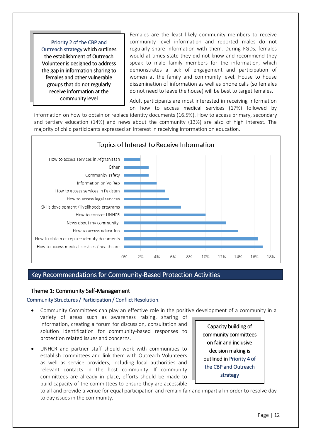**P**riority 2 of the CBP and Outreach strategy which outlines the establishment of Outreach Volunteer is designed to address the gap in information sharing to females and other vulnerable groups that do not regularly receive information at the community level

Females are the least likely community members to receive community level information and reported males do not regularly share information with them. During FGDs, females would at times state they did not know and recommend they speak to male family members for the information, which demonstrates a lack of engagement and participation of women at the family and community level. House to house dissemination of information as well as phone calls (so females do not need to leave the house) will be best to target females.

Adult participants are most interested in receiving information on how to access medical services (17%) followed by

information on how to obtain or replace identity documents (16.5%). How to access primary, secondary and tertiary education (14%) and news about the community (13%) are also of high interest. The majority of child participants expressed an interest in receiving information on education.



### <span id="page-12-0"></span>Key Recommendations for Community-Based Protection Activities

#### <span id="page-12-1"></span>Theme 1: Community Self-Management

#### Community Structures / Participation / Conflict Resolution

- Community Committees can play an effective role in the positive development of a community in a variety of areas such as awareness raising, sharing of information, creating a forum for discussion, consultation and solution identification for community-based responses to protection related issues and concerns.
- UNHCR and partner staff should work with communities to establish committees and link them with Outreach Volunteers as well as service providers, including local authorities and relevant contacts in the host community. If community committees are already in place, efforts should be made to build capacity of the committees to ensure they are accessible

Capacity building of community committees on fair and inclusive decision making is outlined in Priority 4 of the CBP and Outreach strategy

to all and provide a venue for equal participation and remain fair and impartial in order to resolve day to day issues in the community.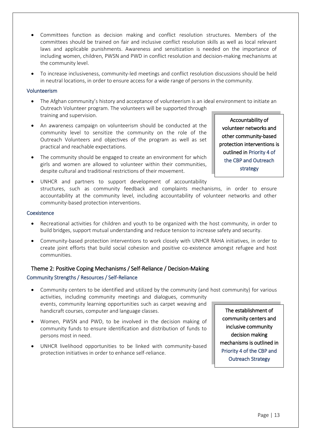- Committees function as decision making and conflict resolution structures. Members of the committees should be trained on fair and inclusive conflict resolution skills as well as local relevant laws and applicable punishments. Awareness and sensitization is needed on the importance of including women, children, PWSN and PWD in conflict resolution and decision-making mechanisms at the community level.
- To increase inclusiveness, community-led meetings and conflict resolution discussions should be held in neutral locations, in order to ensure access for a wide range of persons in the community.

#### Volunteerism

- The Afghan community's history and acceptance of volunteerism is an ideal environment to initiate an Outreach Volunteer program. The volunteers will be supported through training and supervision.
- An awareness campaign on volunteerism should be conducted at the community level to sensitize the community on the role of the Outreach Volunteers and objectives of the program as well as set practical and reachable expectations.
- The community should be engaged to create an environment for which girls and women are allowed to volunteer within their communities, despite cultural and traditional restrictions of their movement.

Accountability of volunteer networks and other community-based protection interventions is outlined in Priority 4 of the CBP and Outreach strategy

 UNHCR and partners to support development of accountability structures, such as community feedback and complaints mechanisms, in order to ensure accountability at the community level, including accountability of volunteer networks and other community-based protection interventions.

#### **Coexistence**

- Recreational activities for children and youth to be organized with the host community, in order to build bridges, support mutual understanding and reduce tension to increase safety and security.
- Community-based protection interventions to work closely with UNHCR RAHA initiatives, in order to create joint efforts that build social cohesion and positive co-existence amongst refugee and host communities.

### <span id="page-13-0"></span>Theme 2: Positive Coping Mechanisms / Self-Reliance / Decision-Making Community Strengths / Resources / Self-Reliance

- Community centers to be identified and utilized by the community (and host community) for various activities, including community meetings and dialogues, community events, community learning opportunities such as carpet weaving and handicraft courses, computer and language classes. The establishment of
- Women, PWSN and PWD, to be involved in the decision making of community funds to ensure identification and distribution of funds to persons most in need.
- UNHCR livelihood opportunities to be linked with community-based protection initiatives in order to enhance self-reliance.

community centers and inclusive community decision making mechanisms is outlined in Priority 4 of the CBP and Outreach Strategy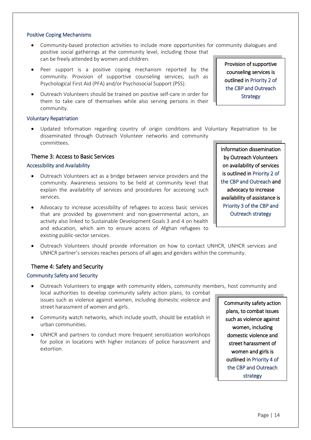#### Positive Coping Mechanisms

- Community-based protection activities to include more opportunities for community dialogues and positive social gatherings at the community level, including those that can be freely attended by women and children.
- Peer support is a positive coping mechanism reported by the community. Provision of supportive counseling services, such as Psychological First Aid (PFA) and/or Psychosocial Support (PSS).
- Outreach Volunteers should be trained on positive self-care in order for them to take care of themselves while also serving persons in their community.

#### Voluntary Repatriation

 Updated Information regarding country of origin conditions and Voluntary Repatriation to be disseminated through Outreach Volunteer networks and community committees.

#### <span id="page-14-0"></span>Theme 3: Access to Basic Services

#### Accessibility and Availability

- Outreach Volunteers act as a bridge between service providers and the community. Awareness sessions to be held at community level that explain the availability of services and procedures for accessing such services.
- Advocacy to increase accessibility of refugees to access basic services that are provided by government and non-governmental actors, an activity also linked to Sustainable Development Goals 3 and 4 on health and education, which aim to ensure access of Afghan refugees to existing public-sector services.
- Outreach Volunteers should provide information on how to contact UNHCR, UNHCR services and UNHCR partner's services reaches persons of all ages and genders within the community.

#### <span id="page-14-1"></span>Theme 4: Safety and Security

#### Community Safety and Security

- Outreach Volunteers to engage with community elders, community members, host community and local authorities to develop community safety action plans, to combat issues such as violence against women, including domestic violence and street harassment of women and girls.
- Community watch networks, which include youth, should be establish in urban communities.
- UNHCR and partners to conduct more frequent sensitization workshops for police in locations with higher instances of police harassment and extortion.

Community safety action plans, to combat issues such as violence against women, including domestic violence and street harassment of women and girls is outlined in Priority 4 of the CBP and Outreach strategy

Information dissemination by Outreach Volunteers on availability of services is outlined in Priority 2 of the CBP and Outreach and advocacy to increase availability of assistance is Priority 3 of the CBP and Outreach strategy

Provision of supportive counseling services is outlined in Priority 2 of the CBP and Outreach **Strategy**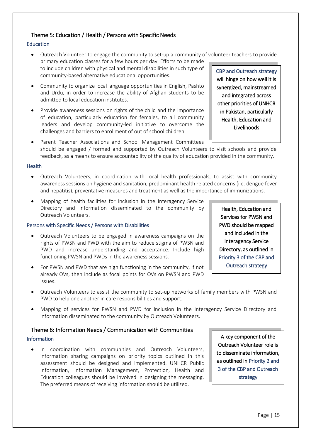### <span id="page-15-0"></span>Theme 5: Education / Health / Persons with Specific Needs

### Education

- Outreach Volunteer to engage the community to set-up a community of volunteer teachers to provide primary education classes for a few hours per day. Efforts to be made to include children with physical and mental disabilities in such type of community-based alternative educational opportunities. CBP and Outreach strategy
- Community to organize local language opportunities in English, Pashto and Urdu, in order to increase the ability of Afghan students to be admitted to local education institutes.
- Provide awareness sessions on rights of the child and the importance of education, particularly education for females, to all community leaders and develop community-led initiative to overcome the challenges and barriers to enrollment of out of school children.
- Parent Teacher Associations and School Management Committees should be engaged / formed and supported by Outreach Volunteers to visit schools and provide feedback, as a means to ensure accountability of the quality of education provided in the community.

#### **Health**

- Outreach Volunteers, in coordination with local health professionals, to assist with community awareness sessions on hygiene and sanitation, predominant health related concerns (i.e. dengue fever and hepatitis), preventative measures and treatment as well as the importance of immunizations.
- Mapping of health facilities for inclusion in the Interagency Service Directory and information disseminated to the community by Outreach Volunteers.

#### Persons with Specific Needs / Persons with Disabilities

- Outreach Volunteers to be engaged in awareness campaigns on the rights of PWSN and PWD with the aim to reduce stigma of PWSN and PWD and increase understanding and acceptance. Include high functioning PWSN and PWDs in the awareness sessions.
- For PWSN and PWD that are high functioning in the community, if not already OVs, then include as focal points for OVs on PWSN and PWD issues.
- Outreach Volunteers to assist the community to set-up networks of family members with PWSN and PWD to help one another in care responsibilities and support.
- Mapping of services for PWSN and PWD for inclusion in the Interagency Service Directory and information disseminated to the community by Outreach Volunteers.

# <span id="page-15-1"></span>Theme 6: Information Needs / Communication with Communities

#### Information

 In coordination with communities and Outreach Volunteers, information sharing campaigns on priority topics outlined in this assessment should be designed and implemented. UNHCR Public Information, Information Management, Protection, Health and Education colleagues should be involved in designing the messaging. The preferred means of receiving information should be utilized.

A key component of the Outreach Volunteer role is to disseminate information, as outlined in Priority 2 and 3 of the CBP and Outreach strategy

Health, Education and Services for PWSN and PWD should be mapped and included in the Interagency Service Directory, as outlined in Priority 3 of the CBP and Outreach strategy

will hinge on how well it is synergized, mainstreamed and integrated across other priorities of UNHCR in Pakistan, particularly Health, Education and Livelihoods